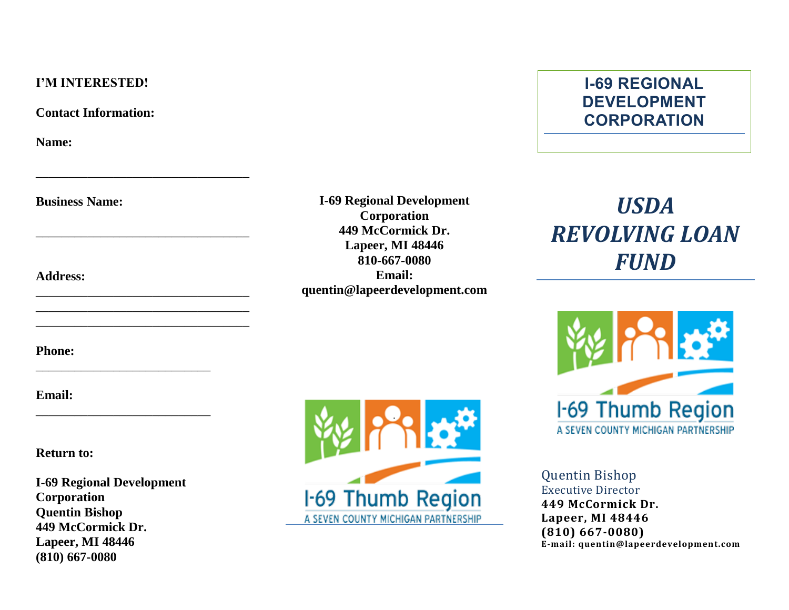#### **I'M INTERESTED!**

**Contact Information:**

\_\_\_\_\_\_\_\_\_\_\_\_\_\_\_\_\_\_\_\_\_\_\_\_\_\_\_\_\_\_\_\_\_

\_\_\_\_\_\_\_\_\_\_\_\_\_\_\_\_\_\_\_\_\_\_\_\_\_\_\_\_\_\_\_\_\_

\_\_\_\_\_\_\_\_\_\_\_\_\_\_\_\_\_\_\_\_\_\_\_\_\_\_\_\_\_\_\_\_\_ \_\_\_\_\_\_\_\_\_\_\_\_\_\_\_\_\_\_\_\_\_\_\_\_\_\_\_\_\_\_\_\_\_ \_\_\_\_\_\_\_\_\_\_\_\_\_\_\_\_\_\_\_\_\_\_\_\_\_\_\_\_\_\_\_\_\_

\_\_\_\_\_\_\_\_\_\_\_\_\_\_\_\_\_\_\_\_\_\_\_\_\_\_\_

\_\_\_\_\_\_\_\_\_\_\_\_\_\_\_\_\_\_\_\_\_\_\_\_\_\_\_

**Name:**

**Business Name:** 

**Address:** 

**Phone:**

**Email:**

**Return to:**

**I-69 Regional Development Corporation Quentin Bishop 449 McCormick Dr. Lapeer, MI 48446 (810) 667-0080**



**I-69 Regional Development Corporation 449 McCormick Dr. Lapeer, MI 48446 810-667-0080 Email: quentin@lapeerdevelopment.com**

# **I-69 REGIONAL DEVELOPMENT CORPORATION**

# *USDA REVOLVING LOAN FUND*



Quentin Bishop Executive Director **449 McCormick Dr. Lapeer, MI 48446 (810) 667-0080) E-mail: quentin@lapeerdevelopment.com**